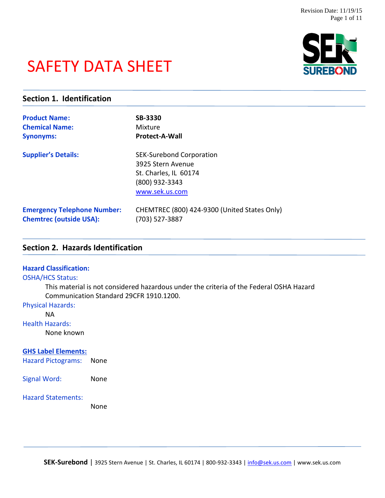# SAFETY DATA SHEET



# **Section 1. Identification**

| <b>Product Name:</b>               | <b>SB-3330</b>                                                                                                    |
|------------------------------------|-------------------------------------------------------------------------------------------------------------------|
| <b>Chemical Name:</b>              | Mixture                                                                                                           |
| <b>Synonyms:</b>                   | <b>Protect-A-Wall</b>                                                                                             |
| <b>Supplier's Details:</b>         | <b>SEK-Surebond Corporation</b><br>3925 Stern Avenue<br>St. Charles, IL 60174<br>(800) 932-3343<br>www.sek.us.com |
| <b>Emergency Telephone Number:</b> | CHEMTREC (800) 424-9300 (United States Only)                                                                      |
| <b>Chemtrec (outside USA):</b>     | (703) 527-3887                                                                                                    |

# **Section 2. Hazards Identification**

#### **Hazard Classification:**

#### OSHA/HCS Status:

This material is not considered hazardous under the criteria of the Federal OSHA Hazard Communication Standard 29CFR 1910.1200.

# Physical Hazards:

NA

#### Health Hazards:

None known

#### **GHS Label Elements:**

Hazard Pictograms: None

Signal Word: None

#### Hazard Statements:

None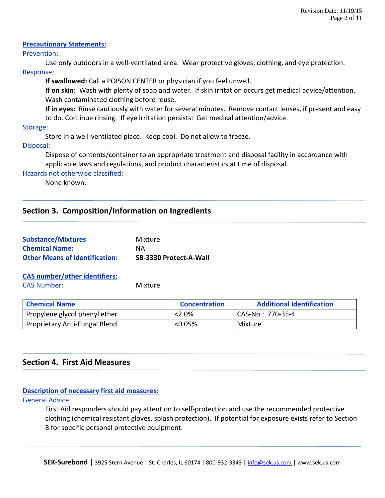## **Precautionary Statements:**

#### Prevention:

Use only outdoors in a well-ventilated area. Wear protective gloves, clothing, and eye protection. Response:

**If swallowed:** Call a POISON CENTER or physician if you feel unwell.

**If on skin:** Wash with plenty of soap and water. If skin irritation occurs get medical advice/attention. Wash contaminated clothing before reuse.

**If in eyes:** Rinse cautiously with water for several minutes. Remove contact lenses, if present and easy to do. Continue rinsing. If eye irritation persists: Get medical attention/advice.

Storage:

Store in a well-ventilated place. Keep cool. Do not allow to freeze.

Disposal:

Dispose of contents/container to an appropriate treatment and disposal facility in accordance with applicable laws and regulations, and product characteristics at time of disposal.

Hazards not otherwise classified:

None known.

# **Section 3. Composition/Information on Ingredients**

| <b>Substance/Mixtures</b>             | Mixture                |
|---------------------------------------|------------------------|
| <b>Chemical Name:</b>                 | <b>NA</b>              |
| <b>Other Means of Identification:</b> | SB-3330 Protect-A-Wall |

**CAS number/other identifiers:** CAS Number: Mixture

| <b>Chemical Name</b>          | <b>Concentration</b> | <b>Additional Identification</b> |
|-------------------------------|----------------------|----------------------------------|
| Propylene glycol phenyl ether | $< 2.0\%$            | CAS-No.: 770-35-4                |
| Proprietary Anti-Fungal Blend | <0.05%               | Mixture                          |

# **Section 4. First Aid Measures**

# **Description of necessary first aid measures:**

General Advice:

First Aid responders should pay attention to self-protection and use the recommended protective clothing (chemical resistant gloves, splash protection). If potential for exposure exists refer to Section 8 for specific personal protective equipment.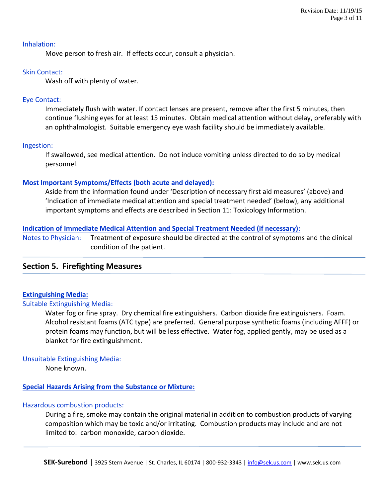#### Inhalation:

Move person to fresh air. If effects occur, consult a physician.

# Skin Contact:

Wash off with plenty of water.

# Eye Contact:

Immediately flush with water. If contact lenses are present, remove after the first 5 minutes, then continue flushing eyes for at least 15 minutes. Obtain medical attention without delay, preferably with an ophthalmologist. Suitable emergency eye wash facility should be immediately available.

# Ingestion:

If swallowed, see medical attention. Do not induce vomiting unless directed to do so by medical personnel.

# **Most Important Symptoms/Effects (both acute and delayed):**

Aside from the information found under 'Description of necessary first aid measures' (above) and 'Indication of immediate medical attention and special treatment needed' (below), any additional important symptoms and effects are described in Section 11: Toxicology Information.

# **Indication of Immediate Medical Attention and Special Treatment Needed (if necessary):**

Notes to Physician: Treatment of exposure should be directed at the control of symptoms and the clinical condition of the patient.

# **Section 5. Firefighting Measures**

# **Extinguishing Media:**

#### Suitable Extinguishing Media:

Water fog or fine spray. Dry chemical fire extinguishers. Carbon dioxide fire extinguishers. Foam. Alcohol resistant foams (ATC type) are preferred. General purpose synthetic foams (including AFFF) or protein foams may function, but will be less effective. Water fog, applied gently, may be used as a blanket for fire extinguishment.

# Unsuitable Extinguishing Media:

None known.

# **Special Hazards Arising from the Substance or Mixture:**

# Hazardous combustion products:

During a fire, smoke may contain the original material in addition to combustion products of varying composition which may be toxic and/or irritating. Combustion products may include and are not limited to: carbon monoxide, carbon dioxide.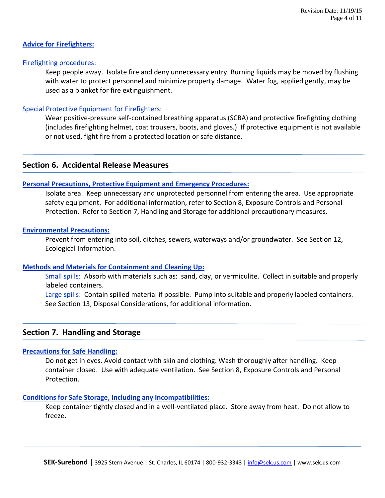## **Advice for Firefighters:**

## Firefighting procedures:

Keep people away. Isolate fire and deny unnecessary entry. Burning liquids may be moved by flushing with water to protect personnel and minimize property damage. Water fog, applied gently, may be used as a blanket for fire extinguishment.

## Special Protective Equipment for Firefighters:

Wear positive-pressure self-contained breathing apparatus (SCBA) and protective firefighting clothing (includes firefighting helmet, coat trousers, boots, and gloves.) If protective equipment is not available or not used, fight fire from a protected location or safe distance.

# **Section 6. Accidental Release Measures**

#### **Personal Precautions, Protective Equipment and Emergency Procedures:**

Isolate area. Keep unnecessary and unprotected personnel from entering the area. Use appropriate safety equipment. For additional information, refer to Section 8, Exposure Controls and Personal Protection. Refer to Section 7, Handling and Storage for additional precautionary measures.

#### **Environmental Precautions:**

Prevent from entering into soil, ditches, sewers, waterways and/or groundwater. See Section 12, Ecological Information.

#### **Methods and Materials for Containment and Cleaning Up:**

Small spills: Absorb with materials such as: sand, clay, or vermiculite. Collect in suitable and properly labeled containers.

Large spills: Contain spilled material if possible. Pump into suitable and properly labeled containers. See Section 13, Disposal Considerations, for additional information.

# **Section 7. Handling and Storage**

# **Precautions for Safe Handling:**

Do not get in eyes. Avoid contact with skin and clothing. Wash thoroughly after handling. Keep container closed. Use with adequate ventilation. See Section 8, Exposure Controls and Personal Protection.

### **Conditions for Safe Storage, Including any Incompatibilities:**

Keep container tightly closed and in a well-ventilated place. Store away from heat. Do not allow to freeze.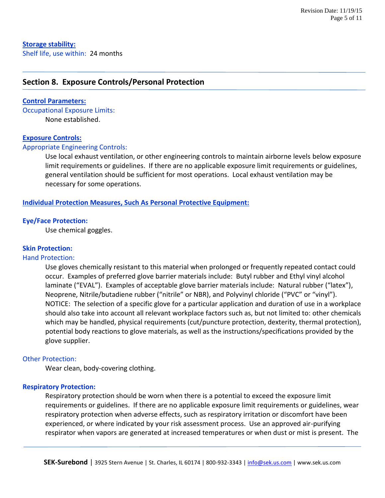# **Section 8. Exposure Controls/Personal Protection**

#### **Control Parameters:**

Occupational Exposure Limits: None established.

#### **Exposure Controls:**

#### Appropriate Engineering Controls:

Use local exhaust ventilation, or other engineering controls to maintain airborne levels below exposure limit requirements or guidelines. If there are no applicable exposure limit requirements or guidelines, general ventilation should be sufficient for most operations. Local exhaust ventilation may be necessary for some operations.

#### **Individual Protection Measures, Such As Personal Protective Equipment:**

#### **Eye/Face Protection:**

Use chemical goggles.

#### **Skin Protection:**

#### Hand Protection:

Use gloves chemically resistant to this material when prolonged or frequently repeated contact could occur. Examples of preferred glove barrier materials include: Butyl rubber and Ethyl vinyl alcohol laminate ("EVAL"). Examples of acceptable glove barrier materials include: Natural rubber ("latex"), Neoprene, Nitrile/butadiene rubber ("nitrile" or NBR), and Polyvinyl chloride ("PVC" or "vinyl"). NOTICE: The selection of a specific glove for a particular application and duration of use in a workplace should also take into account all relevant workplace factors such as, but not limited to: other chemicals which may be handled, physical requirements (cut/puncture protection, dexterity, thermal protection), potential body reactions to glove materials, as well as the instructions/specifications provided by the glove supplier.

#### Other Protection:

Wear clean, body-covering clothing.

#### **Respiratory Protection:**

Respiratory protection should be worn when there is a potential to exceed the exposure limit requirements or guidelines. If there are no applicable exposure limit requirements or guidelines, wear respiratory protection when adverse effects, such as respiratory irritation or discomfort have been experienced, or where indicated by your risk assessment process. Use an approved air-purifying respirator when vapors are generated at increased temperatures or when dust or mist is present. The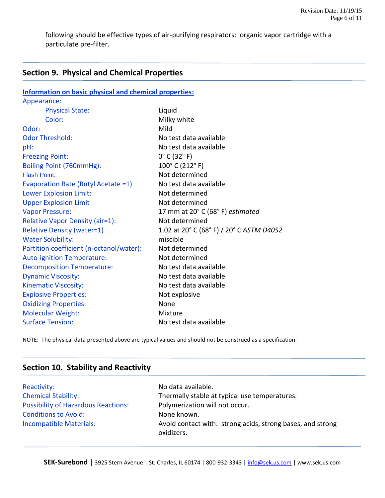following should be effective types of air-purifying respirators: organic vapor cartridge with a particulate pre-filter.

# **Section 9. Physical and Chemical Properties**

| <b>Information on basic physical and chemical properties:</b> |                                          |  |
|---------------------------------------------------------------|------------------------------------------|--|
| Appearance:                                                   |                                          |  |
| <b>Physical State:</b>                                        | Liquid                                   |  |
| Color:                                                        | Milky white                              |  |
| Odor:                                                         | Mild                                     |  |
| <b>Odor Threshold:</b>                                        | No test data available                   |  |
| pH:                                                           | No test data available                   |  |
| <b>Freezing Point:</b>                                        | $0^{\circ}$ C (32 $^{\circ}$ F)          |  |
| Boiling Point (760mmHg):                                      | 100° C (212° F)                          |  |
| <b>Flash Point:</b>                                           | Not determined                           |  |
| Evaporation Rate (Butyl Acetate =1)                           | No test data available                   |  |
| <b>Lower Explosion Limit:</b>                                 | Not determined                           |  |
| <b>Upper Explosion Limit</b>                                  | Not determined                           |  |
| <b>Vapor Pressure:</b>                                        | 17 mm at 20° C (68° F) estimated         |  |
| Relative Vapor Density (air=1):                               | Not determined                           |  |
| <b>Relative Density (water=1)</b>                             | 1.02 at 20° C (68° F) / 20° C ASTM D4052 |  |
| <b>Water Solubility:</b>                                      | miscible                                 |  |
| Partition coefficient (n-octanol/water):                      | Not determined                           |  |
| <b>Auto-ignition Temperature:</b>                             | Not determined                           |  |
| <b>Decomposition Temperature:</b>                             | No test data available                   |  |
| <b>Dynamic Viscosity:</b>                                     | No test data available                   |  |
| <b>Kinematic Viscosity:</b>                                   | No test data available                   |  |
| <b>Explosive Properties:</b>                                  | Not explosive                            |  |
| <b>Oxidizing Properties:</b>                                  | None                                     |  |
| <b>Molecular Weight:</b>                                      | Mixture                                  |  |
| <b>Surface Tension:</b>                                       | No test data available                   |  |

NOTE: The physical data presented above are typical values and should not be construed as a specification.

| Section 10. Stability and Reactivity       |                                                                          |
|--------------------------------------------|--------------------------------------------------------------------------|
| Reactivity:                                | No data available.                                                       |
| <b>Chemical Stability:</b>                 | Thermally stable at typical use temperatures.                            |
| <b>Possibility of Hazardous Reactions:</b> | Polymerization will not occur.                                           |
| <b>Conditions to Avoid:</b>                | None known.                                                              |
| Incompatible Materials:                    | Avoid contact with: strong acids, strong bases, and strong<br>oxidizers. |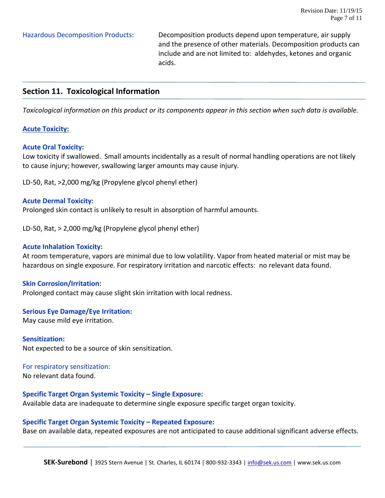Hazardous Decomposition Products: Decomposition products depend upon temperature, air supply and the presence of other materials. Decomposition products can include and are not limited to: aldehydes, ketones and organic acids.

# **Section 11. Toxicological Information**

*Toxicological information on this product or its components appear in this section when such data is available.*

#### **Acute Toxicity:**

#### **Acute Oral Toxicity:**

Low toxicity if swallowed. Small amounts incidentally as a result of normal handling operations are not likely to cause injury; however, swallowing larger amounts may cause injury.

LD-50, Rat, >2,000 mg/kg (Propylene glycol phenyl ether)

#### **Acute Dermal Toxicity:**

Prolonged skin contact is unlikely to result in absorption of harmful amounts.

LD-50, Rat, > 2,000 mg/kg (Propylene glycol phenyl ether)

#### **Acute Inhalation Toxicity:**

At room temperature, vapors are minimal due to low volatility. Vapor from heated material or mist may be hazardous on single exposure. For respiratory irritation and narcotic effects: no relevant data found.

#### **Skin Corrosion/Irritation:**

Prolonged contact may cause slight skin irritation with local redness.

#### **Serious Eye Damage/Eye Irritation:**

May cause mild eye irritation.

**Sensitization:** Not expected to be a source of skin sensitization.

For respiratory sensitization:

No relevant data found.

#### **Specific Target Organ Systemic Toxicity – Single Exposure:**

Available data are inadequate to determine single exposure specific target organ toxicity.

#### **Specific Target Organ Systemic Toxicity – Repeated Exposure:**

Base on available data, repeated exposures are not anticipated to cause additional significant adverse effects.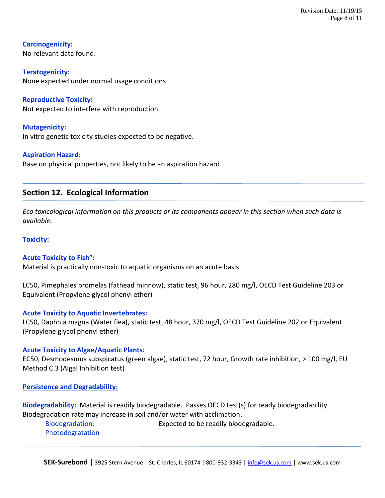**Carcinogenicity:** No relevant data found.

**Teratogenicity:** None expected under normal usage conditions.

**Reproductive Toxicity:** Not expected to interfere with reproduction.

**Mutagenicity:** In vitro genetic toxicity studies expected to be negative.

# **Aspiration Hazard:**

Base on physical properties, not likely to be an aspiration hazard.

# **Section 12. Ecological Information**

*Eco toxicological information on this products or its components appear in this section when such data is available.* 

# **Toxicity:**

# **Acute Toxicity to Fish":**

Material is practically non-toxic to aquatic organisms on an acute basis.

LC50, Pimephales promelas (fathead minnow), static test, 96 hour, 280 mg/l, OECD Test Guideline 203 or Equivalent (Propylene glycol phenyl ether)

# **Acute Toxicity to Aquatic Invertebrates:**

LC50, Daphnia magna (Water flea), static test, 48 hour, 370 mg/l, OECD Test Guideline 202 or Equivalent (Propylene glycol phenyl ether)

# **Acute Toxicity to Algae/Aquatic Plants:**

EC50, Desmodesmus subspicatus (green algae), static test, 72 hour, Growth rate inhibition, > 100 mg/l, EU Method C.3 (Algal Inhibition test)

**Persistence and Degradability:**

**Biodegradability:** Material is readily biodegradable. Passes OECD test(s) for ready biodegradability. Biodegradation rate may increase in soil and/or water with acclimation.

Biodegradation: Expected to be readily biodegradable. Photodegratation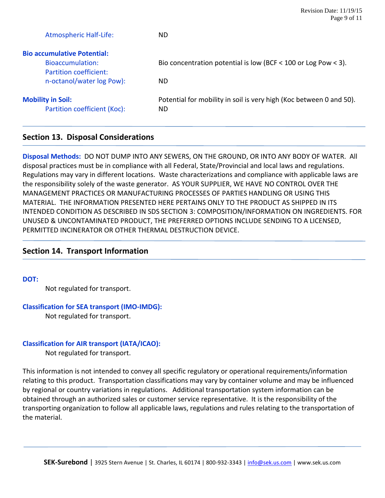| Revision Date: $11/19/15$ |
|---------------------------|
| Page 9 of 11              |

| <b>Atmospheric Half-Life:</b>                            | ND                                                                         |
|----------------------------------------------------------|----------------------------------------------------------------------------|
| <b>Bio accumulative Potential:</b>                       |                                                                            |
| Bioaccumulation:                                         | Bio concentration potential is low (BCF < 100 or Log Pow < 3).             |
| Partition coefficient:                                   |                                                                            |
| n-octanol/water log Pow):                                | ND.                                                                        |
| <b>Mobility in Soil:</b><br>Partition coefficient (Koc): | Potential for mobility in soil is very high (Koc between 0 and 50).<br>ND. |
|                                                          |                                                                            |

# **Section 13. Disposal Considerations**

**Disposal Methods:** DO NOT DUMP INTO ANY SEWERS, ON THE GROUND, OR INTO ANY BODY OF WATER. All disposal practices must be in compliance with all Federal, State/Provincial and local laws and regulations. Regulations may vary in different locations. Waste characterizations and compliance with applicable laws are the responsibility solely of the waste generator. AS YOUR SUPPLIER, WE HAVE NO CONTROL OVER THE MANAGEMENT PRACTICES OR MANUFACTURING PROCESSES OF PARTIES HANDLING OR USING THIS MATERIAL. THE INFORMATION PRESENTED HERE PERTAINS ONLY TO THE PRODUCT AS SHIPPED IN ITS INTENDED CONDITION AS DESCRIBED IN SDS SECTION 3: COMPOSITION/INFORMATION ON INGREDIENTS. FOR UNUSED & UNCONTAMINATED PRODUCT, THE PREFERRED OPTIONS INCLUDE SENDING TO A LICENSED, PERMITTED INCINERATOR OR OTHER THERMAL DESTRUCTION DEVICE.

# **Section 14. Transport Information**

#### **DOT:**

Not regulated for transport.

#### **Classification for SEA transport (IMO-IMDG):**

Not regulated for transport.

# **Classification for AIR transport (IATA/ICAO):**

Not regulated for transport.

This information is not intended to convey all specific regulatory or operational requirements/information relating to this product. Transportation classifications may vary by container volume and may be influenced by regional or country variations in regulations. Additional transportation system information can be obtained through an authorized sales or customer service representative. It is the responsibility of the transporting organization to follow all applicable laws, regulations and rules relating to the transportation of the material.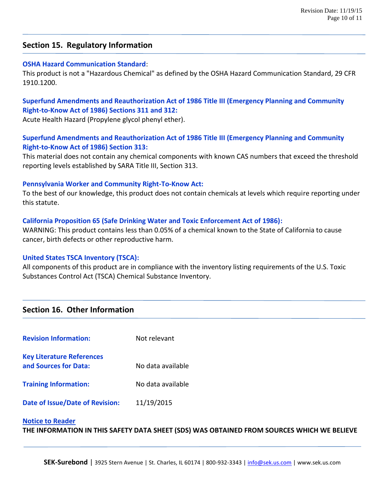# **Section 15. Regulatory Information**

## **OSHA Hazard Communication Standard**:

This product is not a "Hazardous Chemical" as defined by the OSHA Hazard Communication Standard, 29 CFR 1910.1200.

# **Superfund Amendments and Reauthorization Act of 1986 Title III (Emergency Planning and Community Right-to-Know Act of 1986) Sections 311 and 312:**

Acute Health Hazard (Propylene glycol phenyl ether).

# **Superfund Amendments and Reauthorization Act of 1986 Title III (Emergency Planning and Community Right-to-Know Act of 1986) Section 313:**

This material does not contain any chemical components with known CAS numbers that exceed the threshold reporting levels established by SARA Title III, Section 313.

## **Pennsylvania Worker and Community Right-To-Know Act:**

To the best of our knowledge, this product does not contain chemicals at levels which require reporting under this statute.

# **California Proposition 65 (Safe Drinking Water and Toxic Enforcement Act of 1986):**

WARNING: This product contains less than 0.05% of a chemical known to the State of California to cause cancer, birth defects or other reproductive harm.

# **United States TSCA Inventory (TSCA):**

All components of this product are in compliance with the inventory listing requirements of the U.S. Toxic Substances Control Act (TSCA) Chemical Substance Inventory.

# **Section 16. Other Information**

| <b>Revision Information:</b>     | Not relevant      |
|----------------------------------|-------------------|
| <b>Key Literature References</b> |                   |
| and Sources for Data:            | No data available |
| <b>Training Information:</b>     | No data available |
| Date of Issue/Date of Revision:  | 11/19/2015        |

#### **Notice to Reader**

**THE INFORMATION IN THIS SAFETY DATA SHEET (SDS) WAS OBTAINED FROM SOURCES WHICH WE BELIEVE**